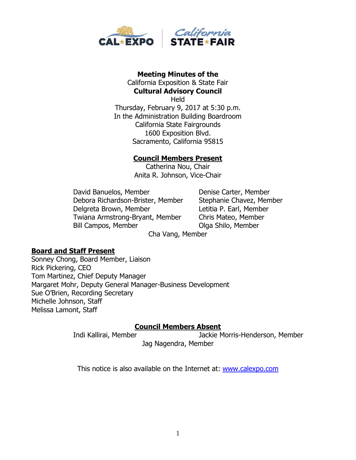

### **Meeting Minutes of the**  California Exposition & State Fair **Cultural Advisory Council**

**Held** Thursday, February 9, 2017 at 5:30 p.m. In the Administration Building Boardroom California State Fairgrounds 1600 Exposition Blvd. Sacramento, California 95815

## **Council Members Present**

Catherina Nou, Chair Anita R. Johnson, Vice-Chair

David Banuelos, Member Denise Carter, Member Debora Richardson-Brister, Member Stephanie Chavez, Member Delgreta Brown, Member Letitia P. Earl, Member Twiana Armstrong-Bryant, Member Chris Mateo, Member Bill Campos, Member **Olga Shilo, Member** 

Cha Vang, Member

#### **Board and Staff Present**

Sonney Chong, Board Member, Liaison Rick Pickering, CEO Tom Martinez, Chief Deputy Manager Margaret Mohr, Deputy General Manager-Business Development Sue O'Brien, Recording Secretary Michelle Johnson, Staff Melissa Lamont, Staff

#### **Council Members Absent**

Indi Kallirai, Member Jackie Morris-Henderson, Member Jag Nagendra, Member

This notice is also available on the Internet at: [www.calexpo.com](http://www.calexpo.com/)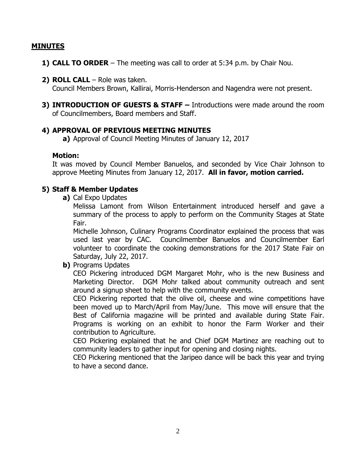### **MINUTES**

- **1) CALL TO ORDER** The meeting was call to order at 5:34 p.m. by Chair Nou.
- **2) ROLL CALL**  Role was taken.

Council Members Brown, Kallirai, Morris-Henderson and Nagendra were not present.

**3) INTRODUCTION OF GUESTS & STAFF –** Introductions were made around the room of Councilmembers, Board members and Staff.

### **4) APPROVAL OF PREVIOUS MEETING MINUTES**

**a)** Approval of Council Meeting Minutes of January 12, 2017

#### **Motion:**

It was moved by Council Member Banuelos, and seconded by Vice Chair Johnson to approve Meeting Minutes from January 12, 2017. **All in favor, motion carried.**

## **5) Staff & Member Updates**

**a)** Cal Expo Updates

Melissa Lamont from Wilson Entertainment introduced herself and gave a summary of the process to apply to perform on the Community Stages at State Fair.

Michelle Johnson, Culinary Programs Coordinator explained the process that was used last year by CAC. Councilmember Banuelos and Councilmember Earl volunteer to coordinate the cooking demonstrations for the 2017 State Fair on Saturday, July 22, 2017.

**b)** Programs Updates

CEO Pickering introduced DGM Margaret Mohr, who is the new Business and Marketing Director. DGM Mohr talked about community outreach and sent around a signup sheet to help with the community events.

CEO Pickering reported that the olive oil, cheese and wine competitions have been moved up to March/April from May/June. This move will ensure that the Best of California magazine will be printed and available during State Fair. Programs is working on an exhibit to honor the Farm Worker and their contribution to Agriculture.

CEO Pickering explained that he and Chief DGM Martinez are reaching out to community leaders to gather input for opening and closing nights.

CEO Pickering mentioned that the Jaripeo dance will be back this year and trying to have a second dance.